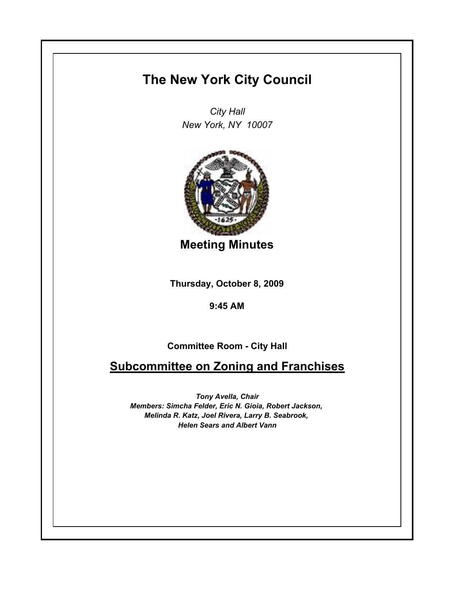## **The New York City Council**

*City Hall New York, NY 10007*



**Meeting Minutes**

**Thursday, October 8, 2009**

**9:45 AM**

**Committee Room - City Hall**

**Subcommittee on Zoning and Franchises**

*Tony Avella, Chair Members: Simcha Felder, Eric N. Gioia, Robert Jackson, Melinda R. Katz, Joel Rivera, Larry B. Seabrook, Helen Sears and Albert Vann*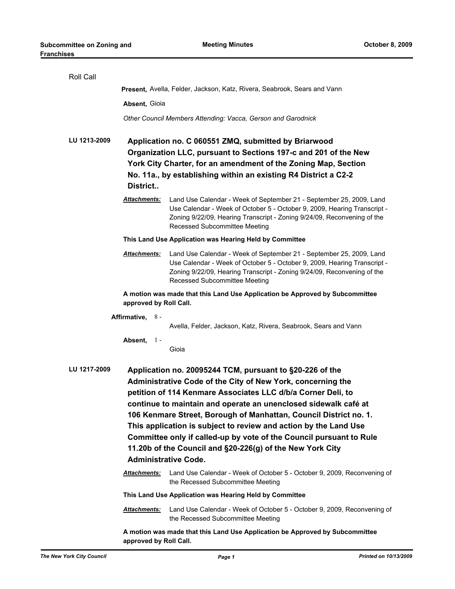| Roll Call    |                                                                                                                                                                                                                                                                                                                                                                                                                                                                                                                                                                        |                                                                                                                                                                                                                                                             |  |  |  |
|--------------|------------------------------------------------------------------------------------------------------------------------------------------------------------------------------------------------------------------------------------------------------------------------------------------------------------------------------------------------------------------------------------------------------------------------------------------------------------------------------------------------------------------------------------------------------------------------|-------------------------------------------------------------------------------------------------------------------------------------------------------------------------------------------------------------------------------------------------------------|--|--|--|
|              | Present, Avella, Felder, Jackson, Katz, Rivera, Seabrook, Sears and Vann                                                                                                                                                                                                                                                                                                                                                                                                                                                                                               |                                                                                                                                                                                                                                                             |  |  |  |
|              | Absent, Gioia                                                                                                                                                                                                                                                                                                                                                                                                                                                                                                                                                          |                                                                                                                                                                                                                                                             |  |  |  |
|              |                                                                                                                                                                                                                                                                                                                                                                                                                                                                                                                                                                        | Other Council Members Attending: Vacca, Gerson and Garodnick                                                                                                                                                                                                |  |  |  |
| LU 1213-2009 | Application no. C 060551 ZMQ, submitted by Briarwood<br>Organization LLC, pursuant to Sections 197-c and 201 of the New<br>York City Charter, for an amendment of the Zoning Map, Section<br>No. 11a., by establishing within an existing R4 District a C2-2<br>District                                                                                                                                                                                                                                                                                               |                                                                                                                                                                                                                                                             |  |  |  |
|              | Attachments:                                                                                                                                                                                                                                                                                                                                                                                                                                                                                                                                                           | Land Use Calendar - Week of September 21 - September 25, 2009, Land<br>Use Calendar - Week of October 5 - October 9, 2009, Hearing Transcript -<br>Zoning 9/22/09, Hearing Transcript - Zoning 9/24/09, Reconvening of the<br>Recessed Subcommittee Meeting |  |  |  |
|              |                                                                                                                                                                                                                                                                                                                                                                                                                                                                                                                                                                        | This Land Use Application was Hearing Held by Committee                                                                                                                                                                                                     |  |  |  |
|              | <u>Attachments:</u>                                                                                                                                                                                                                                                                                                                                                                                                                                                                                                                                                    | Land Use Calendar - Week of September 21 - September 25, 2009, Land<br>Use Calendar - Week of October 5 - October 9, 2009, Hearing Transcript -<br>Zoning 9/22/09, Hearing Transcript - Zoning 9/24/09, Reconvening of the<br>Recessed Subcommittee Meeting |  |  |  |
|              | A motion was made that this Land Use Application be Approved by Subcommittee<br>approved by Roll Call.                                                                                                                                                                                                                                                                                                                                                                                                                                                                 |                                                                                                                                                                                                                                                             |  |  |  |
|              | Affirmative, $8 -$                                                                                                                                                                                                                                                                                                                                                                                                                                                                                                                                                     |                                                                                                                                                                                                                                                             |  |  |  |
|              |                                                                                                                                                                                                                                                                                                                                                                                                                                                                                                                                                                        | Avella, Felder, Jackson, Katz, Rivera, Seabrook, Sears and Vann                                                                                                                                                                                             |  |  |  |
|              | Absent, $1 -$                                                                                                                                                                                                                                                                                                                                                                                                                                                                                                                                                          | Gioia                                                                                                                                                                                                                                                       |  |  |  |
| LU 1217-2009 | Application no. 20095244 TCM, pursuant to §20-226 of the<br>Administrative Code of the City of New York, concerning the<br>petition of 114 Kenmare Associates LLC d/b/a Corner Deli, to<br>continue to maintain and operate an unenclosed sidewalk café at<br>106 Kenmare Street, Borough of Manhattan, Council District no. 1.<br>This application is subject to review and action by the Land Use<br>Committee only if called-up by vote of the Council pursuant to Rule<br>11.20b of the Council and §20-226(g) of the New York City<br><b>Administrative Code.</b> |                                                                                                                                                                                                                                                             |  |  |  |
|              | <b>Attachments:</b>                                                                                                                                                                                                                                                                                                                                                                                                                                                                                                                                                    | Land Use Calendar - Week of October 5 - October 9, 2009, Reconvening of<br>the Recessed Subcommittee Meeting                                                                                                                                                |  |  |  |
|              |                                                                                                                                                                                                                                                                                                                                                                                                                                                                                                                                                                        | This Land Use Application was Hearing Held by Committee                                                                                                                                                                                                     |  |  |  |
|              | <b>Attachments:</b>                                                                                                                                                                                                                                                                                                                                                                                                                                                                                                                                                    | Land Use Calendar - Week of October 5 - October 9, 2009, Reconvening of<br>the Recessed Subcommittee Meeting                                                                                                                                                |  |  |  |
|              | A motion was made that this Land Use Application be Approved by Subcommittee<br>approved by Roll Call.                                                                                                                                                                                                                                                                                                                                                                                                                                                                 |                                                                                                                                                                                                                                                             |  |  |  |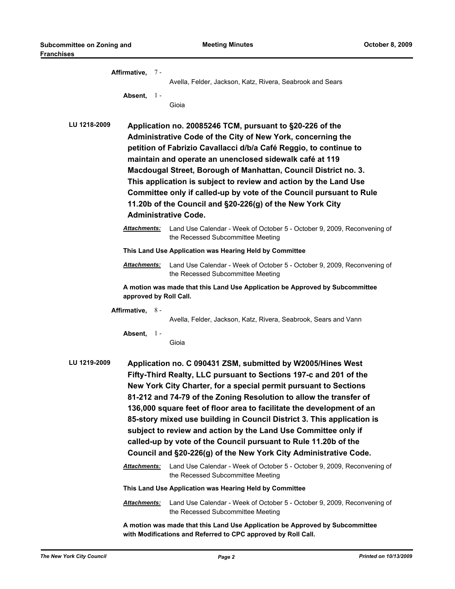|              | Affirmative, 7-                                                                                                                                                                                                                                                                                                                                                                                                                                                                                                                                                                                                                                                                                                                   |                                                                                                                                               |  |  |  |
|--------------|-----------------------------------------------------------------------------------------------------------------------------------------------------------------------------------------------------------------------------------------------------------------------------------------------------------------------------------------------------------------------------------------------------------------------------------------------------------------------------------------------------------------------------------------------------------------------------------------------------------------------------------------------------------------------------------------------------------------------------------|-----------------------------------------------------------------------------------------------------------------------------------------------|--|--|--|
|              | Absent,<br>$1 -$                                                                                                                                                                                                                                                                                                                                                                                                                                                                                                                                                                                                                                                                                                                  | Avella, Felder, Jackson, Katz, Rivera, Seabrook and Sears<br>Gioia                                                                            |  |  |  |
| LU 1218-2009 | Application no. 20085246 TCM, pursuant to §20-226 of the<br>Administrative Code of the City of New York, concerning the<br>petition of Fabrizio Cavallacci d/b/a Café Reggio, to continue to<br>maintain and operate an unenclosed sidewalk café at 119<br>Macdougal Street, Borough of Manhattan, Council District no. 3.<br>This application is subject to review and action by the Land Use<br>Committee only if called-up by vote of the Council pursuant to Rule<br>11.20b of the Council and §20-226(g) of the New York City<br><b>Administrative Code.</b>                                                                                                                                                                 |                                                                                                                                               |  |  |  |
|              | Attachments:                                                                                                                                                                                                                                                                                                                                                                                                                                                                                                                                                                                                                                                                                                                      | Land Use Calendar - Week of October 5 - October 9, 2009, Reconvening of<br>the Recessed Subcommittee Meeting                                  |  |  |  |
|              |                                                                                                                                                                                                                                                                                                                                                                                                                                                                                                                                                                                                                                                                                                                                   | This Land Use Application was Hearing Held by Committee                                                                                       |  |  |  |
|              | Attachments:                                                                                                                                                                                                                                                                                                                                                                                                                                                                                                                                                                                                                                                                                                                      | Land Use Calendar - Week of October 5 - October 9, 2009, Reconvening of<br>the Recessed Subcommittee Meeting                                  |  |  |  |
|              | A motion was made that this Land Use Application be Approved by Subcommittee<br>approved by Roll Call.                                                                                                                                                                                                                                                                                                                                                                                                                                                                                                                                                                                                                            |                                                                                                                                               |  |  |  |
|              | Affirmative, 8-                                                                                                                                                                                                                                                                                                                                                                                                                                                                                                                                                                                                                                                                                                                   |                                                                                                                                               |  |  |  |
|              |                                                                                                                                                                                                                                                                                                                                                                                                                                                                                                                                                                                                                                                                                                                                   | Avella, Felder, Jackson, Katz, Rivera, Seabrook, Sears and Vann                                                                               |  |  |  |
|              | Absent,<br>$\frac{1}{2}$                                                                                                                                                                                                                                                                                                                                                                                                                                                                                                                                                                                                                                                                                                          | Gioia                                                                                                                                         |  |  |  |
| LU 1219-2009 | Application no. C 090431 ZSM, submitted by W2005/Hines West<br>Fifty-Third Realty, LLC pursuant to Sections 197-c and 201 of the<br>New York City Charter, for a special permit pursuant to Sections<br>81-212 and 74-79 of the Zoning Resolution to allow the transfer of<br>136,000 square feet of floor area to facilitate the development of an<br>85-story mixed use building in Council District 3. This application is<br>subject to review and action by the Land Use Committee only if<br>called-up by vote of the Council pursuant to Rule 11.20b of the<br>Council and §20-226(g) of the New York City Administrative Code.<br>Land Use Calendar - Week of October 5 - October 9, 2009, Reconvening of<br>Attachments: |                                                                                                                                               |  |  |  |
|              |                                                                                                                                                                                                                                                                                                                                                                                                                                                                                                                                                                                                                                                                                                                                   | the Recessed Subcommittee Meeting                                                                                                             |  |  |  |
|              |                                                                                                                                                                                                                                                                                                                                                                                                                                                                                                                                                                                                                                                                                                                                   | This Land Use Application was Hearing Held by Committee                                                                                       |  |  |  |
|              | Attachments:                                                                                                                                                                                                                                                                                                                                                                                                                                                                                                                                                                                                                                                                                                                      | Land Use Calendar - Week of October 5 - October 9, 2009, Reconvening of<br>the Recessed Subcommittee Meeting                                  |  |  |  |
|              |                                                                                                                                                                                                                                                                                                                                                                                                                                                                                                                                                                                                                                                                                                                                   | A motion was made that this Land Use Application be Approved by Subcommittee<br>with Modifications and Referred to CPC approved by Roll Call. |  |  |  |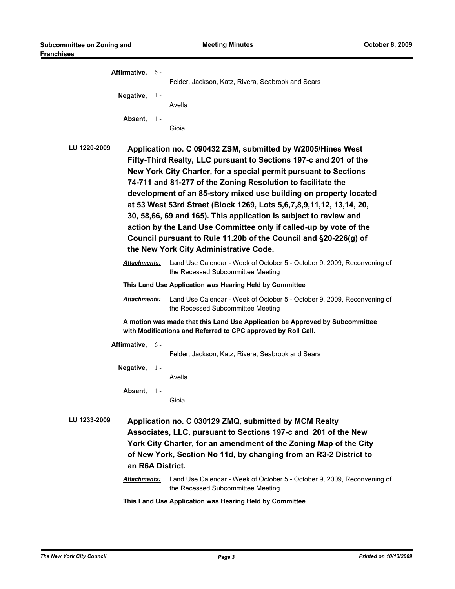| Affirmative, 6-                                                                                                                                                                                                                                                                                       |                                                                                                                                                                                                                                                                                                                                                                                                                                                                                                                                                                                                                                                                           | Felder, Jackson, Katz, Rivera, Seabrook and Sears                                                                                             |  |  |
|-------------------------------------------------------------------------------------------------------------------------------------------------------------------------------------------------------------------------------------------------------------------------------------------------------|---------------------------------------------------------------------------------------------------------------------------------------------------------------------------------------------------------------------------------------------------------------------------------------------------------------------------------------------------------------------------------------------------------------------------------------------------------------------------------------------------------------------------------------------------------------------------------------------------------------------------------------------------------------------------|-----------------------------------------------------------------------------------------------------------------------------------------------|--|--|
| Negative, 1-                                                                                                                                                                                                                                                                                          |                                                                                                                                                                                                                                                                                                                                                                                                                                                                                                                                                                                                                                                                           | Avella                                                                                                                                        |  |  |
| Absent, $1 -$                                                                                                                                                                                                                                                                                         |                                                                                                                                                                                                                                                                                                                                                                                                                                                                                                                                                                                                                                                                           | Gioia                                                                                                                                         |  |  |
| LU 1220-2009                                                                                                                                                                                                                                                                                          | Application no. C 090432 ZSM, submitted by W2005/Hines West<br>Fifty-Third Realty, LLC pursuant to Sections 197-c and 201 of the<br>New York City Charter, for a special permit pursuant to Sections<br>74-711 and 81-277 of the Zoning Resolution to facilitate the<br>development of an 85-story mixed use building on property located<br>at 53 West 53rd Street (Block 1269, Lots 5,6,7,8,9,11,12, 13,14, 20,<br>30, 58,66, 69 and 165). This application is subject to review and<br>action by the Land Use Committee only if called-up by vote of the<br>Council pursuant to Rule 11.20b of the Council and §20-226(g) of<br>the New York City Administrative Code. |                                                                                                                                               |  |  |
| Attachments:                                                                                                                                                                                                                                                                                          |                                                                                                                                                                                                                                                                                                                                                                                                                                                                                                                                                                                                                                                                           | Land Use Calendar - Week of October 5 - October 9, 2009, Reconvening of<br>the Recessed Subcommittee Meeting                                  |  |  |
|                                                                                                                                                                                                                                                                                                       |                                                                                                                                                                                                                                                                                                                                                                                                                                                                                                                                                                                                                                                                           | This Land Use Application was Hearing Held by Committee                                                                                       |  |  |
| Attachments:                                                                                                                                                                                                                                                                                          |                                                                                                                                                                                                                                                                                                                                                                                                                                                                                                                                                                                                                                                                           | Land Use Calendar - Week of October 5 - October 9, 2009, Reconvening of<br>the Recessed Subcommittee Meeting                                  |  |  |
|                                                                                                                                                                                                                                                                                                       |                                                                                                                                                                                                                                                                                                                                                                                                                                                                                                                                                                                                                                                                           | A motion was made that this Land Use Application be Approved by Subcommittee<br>with Modifications and Referred to CPC approved by Roll Call. |  |  |
| Affirmative, 6-                                                                                                                                                                                                                                                                                       |                                                                                                                                                                                                                                                                                                                                                                                                                                                                                                                                                                                                                                                                           | Felder, Jackson, Katz, Rivera, Seabrook and Sears                                                                                             |  |  |
| Negative, $1 -$                                                                                                                                                                                                                                                                                       |                                                                                                                                                                                                                                                                                                                                                                                                                                                                                                                                                                                                                                                                           | Avella                                                                                                                                        |  |  |
| Absent.                                                                                                                                                                                                                                                                                               | $1 -$                                                                                                                                                                                                                                                                                                                                                                                                                                                                                                                                                                                                                                                                     | Gioia                                                                                                                                         |  |  |
| LU 1233-2009<br>Application no. C 030129 ZMQ, submitted by MCM Realty<br>Associates, LLC, pursuant to Sections 197-c and 201 of the New<br>York City Charter, for an amendment of the Zoning Map of the City<br>of New York, Section No 11d, by changing from an R3-2 District to<br>an R6A District. |                                                                                                                                                                                                                                                                                                                                                                                                                                                                                                                                                                                                                                                                           |                                                                                                                                               |  |  |
| Attachments:                                                                                                                                                                                                                                                                                          |                                                                                                                                                                                                                                                                                                                                                                                                                                                                                                                                                                                                                                                                           | Land Use Calendar - Week of October 5 - October 9, 2009, Reconvening of<br>the Recessed Subcommittee Meeting                                  |  |  |
|                                                                                                                                                                                                                                                                                                       |                                                                                                                                                                                                                                                                                                                                                                                                                                                                                                                                                                                                                                                                           | This Land Use Application was Hearing Held by Committee                                                                                       |  |  |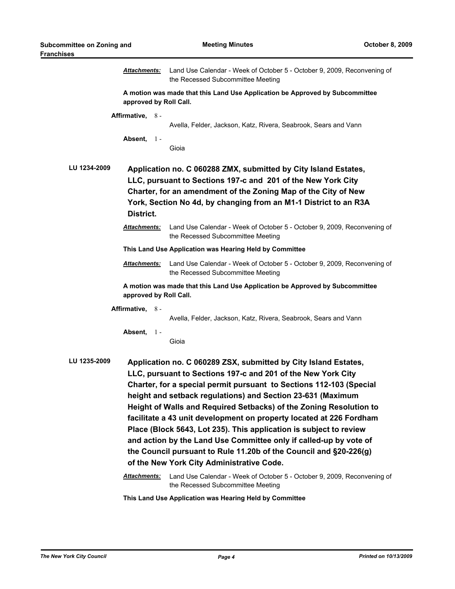|                                                                                                                                                                                                                                                                                                    | <u> Attachments:</u>           | Land Use Calendar - Week of October 5 - October 9, 2009, Reconvening of<br>the Recessed Subcommittee Meeting                                                                                                                                                                                                                                                                                                                                                                                                                                                                                                                                                                                                                                               |  |  |
|----------------------------------------------------------------------------------------------------------------------------------------------------------------------------------------------------------------------------------------------------------------------------------------------------|--------------------------------|------------------------------------------------------------------------------------------------------------------------------------------------------------------------------------------------------------------------------------------------------------------------------------------------------------------------------------------------------------------------------------------------------------------------------------------------------------------------------------------------------------------------------------------------------------------------------------------------------------------------------------------------------------------------------------------------------------------------------------------------------------|--|--|
| A motion was made that this Land Use Application be Approved by Subcommittee<br>approved by Roll Call.                                                                                                                                                                                             |                                |                                                                                                                                                                                                                                                                                                                                                                                                                                                                                                                                                                                                                                                                                                                                                            |  |  |
|                                                                                                                                                                                                                                                                                                    | Affirmative, 8 -<br>Absent, 1- | Avella, Felder, Jackson, Katz, Rivera, Seabrook, Sears and Vann                                                                                                                                                                                                                                                                                                                                                                                                                                                                                                                                                                                                                                                                                            |  |  |
|                                                                                                                                                                                                                                                                                                    |                                | Gioia                                                                                                                                                                                                                                                                                                                                                                                                                                                                                                                                                                                                                                                                                                                                                      |  |  |
| LU 1234-2009<br>Application no. C 060288 ZMX, submitted by City Island Estates,<br>LLC, pursuant to Sections 197-c and 201 of the New York City<br>Charter, for an amendment of the Zoning Map of the City of New<br>York, Section No 4d, by changing from an M1-1 District to an R3A<br>District. |                                |                                                                                                                                                                                                                                                                                                                                                                                                                                                                                                                                                                                                                                                                                                                                                            |  |  |
|                                                                                                                                                                                                                                                                                                    | <u> Attachments:</u>           | Land Use Calendar - Week of October 5 - October 9, 2009, Reconvening of<br>the Recessed Subcommittee Meeting                                                                                                                                                                                                                                                                                                                                                                                                                                                                                                                                                                                                                                               |  |  |
|                                                                                                                                                                                                                                                                                                    |                                | This Land Use Application was Hearing Held by Committee                                                                                                                                                                                                                                                                                                                                                                                                                                                                                                                                                                                                                                                                                                    |  |  |
|                                                                                                                                                                                                                                                                                                    | Attachments:                   | Land Use Calendar - Week of October 5 - October 9, 2009, Reconvening of<br>the Recessed Subcommittee Meeting                                                                                                                                                                                                                                                                                                                                                                                                                                                                                                                                                                                                                                               |  |  |
|                                                                                                                                                                                                                                                                                                    | approved by Roll Call.         | A motion was made that this Land Use Application be Approved by Subcommittee                                                                                                                                                                                                                                                                                                                                                                                                                                                                                                                                                                                                                                                                               |  |  |
|                                                                                                                                                                                                                                                                                                    | Affirmative, 8 -               | Avella, Felder, Jackson, Katz, Rivera, Seabrook, Sears and Vann                                                                                                                                                                                                                                                                                                                                                                                                                                                                                                                                                                                                                                                                                            |  |  |
|                                                                                                                                                                                                                                                                                                    | Absent, $1 -$                  | Gioia                                                                                                                                                                                                                                                                                                                                                                                                                                                                                                                                                                                                                                                                                                                                                      |  |  |
| LU 1235-2009                                                                                                                                                                                                                                                                                       | <b>Attachments:</b>            | Application no. C 060289 ZSX, submitted by City Island Estates,<br>LLC, pursuant to Sections 197-c and 201 of the New York City<br>Charter, for a special permit pursuant to Sections 112-103 (Special<br>height and setback regulations) and Section 23-631 (Maximum<br>Height of Walls and Required Setbacks) of the Zoning Resolution to<br>facilitate a 43 unit development on property located at 226 Fordham<br>Place (Block 5643, Lot 235). This application is subject to review<br>and action by the Land Use Committee only if called-up by vote of<br>the Council pursuant to Rule 11.20b of the Council and §20-226(g)<br>of the New York City Administrative Code.<br>Land Use Calendar - Week of October 5 - October 9, 2009, Reconvening of |  |  |
|                                                                                                                                                                                                                                                                                                    |                                | the Recessed Subcommittee Meeting                                                                                                                                                                                                                                                                                                                                                                                                                                                                                                                                                                                                                                                                                                                          |  |  |

**This Land Use Application was Hearing Held by Committee**